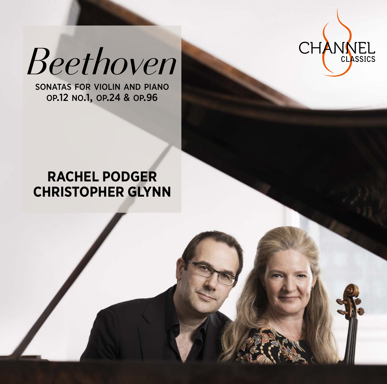

# *Beethoven*

sonatas for violin and piano op.12 no.1, op.24 & op.96

# **RACHEL PODGER CHRISTOPHER GLYNN**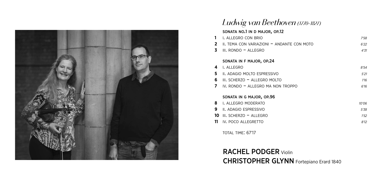

# *Ludwig van Beethoven (1770-1827)*

## sonata no.1 in <sup>d</sup> major, op.12

| 1 I. ALLEGRO CON BRIO                        | 7'58 |
|----------------------------------------------|------|
| 2 II. TEMA CON VARIAZIONI - ANDANTE CON MOTO | 6'22 |
| $3$ III. RONDO – ALLEGRO                     | 4'31 |

## sonata in <sup>f</sup> major, op.24

| 4 I. ALLEGRO                        | 8'54 |
|-------------------------------------|------|
| 5 II. ADAGIO MOLTO ESPRESSIVO       | 5'21 |
| 6 III. SCHERZO – ALLEGRO MOLTO      | 1'16 |
| 7 IV. RONDO - ALLEGRO MA NON TROPPO | 6'16 |

## sonata in <sup>g</sup> major, op.96

| 8 I. ALLEGRO MODERATO       | 10'06 |
|-----------------------------|-------|
| 9 II. ADAGIO ESPRESSIVO     | 5'38  |
| $10$ III. SCHERZO – ALLEGRO | 1'52  |
| 11 IV. POCO ALLEGRETTO      | R'12  |

total time: 67'17

RACHEL PODGER Violin CHRISTOPHER GLYNN Fortepiano Erard 1840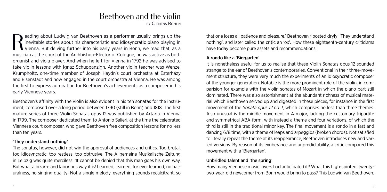# Beethoven and the violin by Clemens Romijn

Reading about Ludwig van Beethoven as a performer usually brings up the<br>inevitable stories about his characteristic and idiosyncratic piano playing in<br>Vienna. But delving further into his early years in Bonn, we read that, inevitable stories about his characteristic and idiosyncratic piano playing in Vienna. But delving further into his early years in Bonn, we read that, as a musician at the court of the Archbishop-Elector of Cologne, he was active as both organist and viola player. And when he left for Vienna in 1792 he was advised to take violin lessons with Ignaz Schuppanzigh. Another violin teacher was Wenzel Krumpholtz, one-time member of Joseph Haydn's court orchestra at Esterházy and Eisenstadt and now engaged in the court orchestra at Vienna. He was among the first to express admiration for Beethoven's achievements as a composer in his early Viennese years.

Beethoven's affinity with the violin is also evident in his ten sonatas for the instrument, composed over a long period between 1790 (still in Bonn) and 1818. The first mature series of three Violin Sonatas opus 12 was published by Artaria in Vienna in 1799. The composer dedicated them to Antonio Salieri, at the time the celebrated Viennese court composer, who gave Beethoven free composition lessons for no less than ten years.

#### 'They understand nothing'

The sonatas, however, did not win the approval of audiences and critics. Too brutal, too idiosyncratic, too restless, too obtrusive. The Allgemeine Musikalische Zeitung in Leipzig was quite merciless: 'It cannot be denied that this man goes his own way. But what a bizarre and laborious way it is! Learned, learned, for ever learned, no naturalness, no singing quality! Not a single melody, everything sounds recalcitrant, so

that one loses all patience and pleasure.' Beethoven riposted dryly: 'They understand nothing', and later called the critic an 'ox'. How these eighteenth-century criticisms have today become pure assets and recommendations!

## A rondo like a 'Biergarten'

It is nonetheless useful for us to realise that these Violin Sonatas opus 12 sounded strange to the ear of Beethoven's contemporaries. Conventional in their three-movement structure, they were very much the experiments of an idiosyncratic composer of the younger generation. Notable is the more prominent role of the violin, in comparision for example with the violin sonatas of Mozart in which the piano part still dominated. There was also astonishment at the abundant richness of musical material which Beethoven served up and digested in these pieces, for instance in the first movement of the *Sonata opus 12 no. 1*, which comprises no less than three themes. Also unusual is the middle movement in A major, lacking the customary tripartite and symmetrical ABA-form, with instead a theme and four variations, of which the third is still in the traditional minor key. The final movement is a rondo in a fast and dancing 6/8 time, with a theme of leaps and arpeggios (broken chords). Not satisfied to literally repeat the theme at its reappearance, Beethoven introduces new and varied versions. By reason of its exuberance and unpredictability, a critic compared this movement with a 'Biergarten'.

## Unbridled talent and 'the spring'

How many Viennese music lovers had anticipated it? What this high-spirited, twentytwo-year-old newcomer from Bonn would bring to pass? This Ludwig van Beethoven.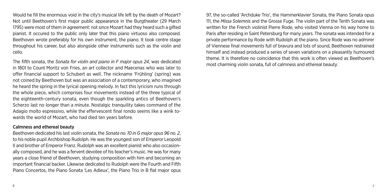Would he fill the enormous void in the city's musical life left by the death of Mozart? Not until Beethoven's first major public appearance in the Burgtheater (29 March 1795) were most of them in agreement: not since Mozart had they heard such a gifted pianist. It occured to the public only later that this piano virtuoso also composed. Beethoven wrote preferably for his own instrument, the piano. It took centre stage throughout his career, but also alongside other instruments such as the violin and cello.

The fifth sonata, the *Sonata for violin and piano in F major opus 24*, was dedicated in 1801 to Count Moritz von Fries, an art collector and Maecenas who was later to offer financial support to Schubert as well. The nickname 'Frühling' (spring) was not coined by Beethoven but was an association of a contemporary, who imagined he heard the spring in the lyrical opening melody. In fact this lyricism runs through the whole piece, which comprises four movements instead of the three typical of the eighteenth-century sonata, even though the sparkling antics of Beethoven's Scherzo last no longer than a minute. Nostalgic tranquility takes command of the Adagio molto espressivo, while the effervescent final rondo seems like a wink towards the world of Mozart, who had died ten years before.

#### Calmness and ethereal beauty

Beethoven dedicated his last violin sonata, the *Sonata no. 10 in G major opus 96 no. 2*, to his noble pupil Archbishop Rudolph. He was the youngest son of Emperor Leopold II and brother of Emperor Franz. Rudolph was an excellent pianist who also occasionally composed, and he was a fervent devotee of his teacher's music. He was for many years a close friend of Beethoven, studying composition with him and becoming an important financial backer. Likewise dedicated to Rudolph were the Fourth and Fifth Piano Concertos, the Piano Sonata 'Les Adieux', the Piano Trio in B flat major opus

97, the so-called 'Archduke Trio', the Hammerklavier Sonata, the Piano Sonata opus 111, the *Missa Solemnis* and the Grosse Fuge. The violin part of the Tenth Sonata was written for the French violinist Pierre Rode, who visited Vienna on his way home to Paris after residing in Saint Petersburg for many years. The sonata was intended for a private performance by Rode with Rudolph at the piano. Since Rode was no admirer of Viennese final movements full of bravura and lots of sound, Beethoven restrained himself and instead produced a series of seven variations on a pleasantly humoured theme. It is therefore no coincidence that this work is often viewed as Beethoven's most charming violin sonata, full of calmness and ethereal beauty.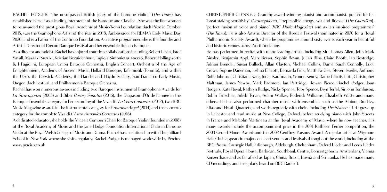RACHEL PODGER, "the unsurpassed British glory of the baroque violin," (*The Times*) has established herself as a leading interpreter of the Baroque and Classical. She was the first woman to be awarded the prestigious Royal Academy of Music/Kohn Foundation Bach Prize in October 2015, was the Gramophone Artist of the Year in 2018, Ambassador for REMA's Early Music Day 2020, and is a Patron of the Continuo Foundation. A creative programmer, she is the founder and Artistic Director of Brecon Baroque Festival and her ensemble Brecon Baroque.

As a director and soloist, Rachel has enjoyed countless collaborations including Robert Levin, Jordi Savall, Masaaki Suzuki, Kristian Bezuidenhout, Tapiola Sinfonietta, voces8, Robert Hollingworth & I Fagiolini, European Union Baroque Orchestra, English Concert, Orchestra of the Age of Enlightenment, Academy of Ancient Music, Holland Baroque, Tafelmusik (Toronto), and within the U.S.A. the Berwick Academy, the Handel and Haydn Society, San Francisco Early Music, Oregon Bach Festival, and Philharmonia Baroque Orchestra.

Rachel has won numerous awards including two Baroque Instrumental Gramophone Awards for *La Stravaganza* (2003) and Biber *Rosary Sonatas* (2016), the Diapason d'Or de l'année in the Baroque Ensemble category for her recording of the Vivaldi's *La Cetra Concertos* (2012), two BBC Music Magazine awards in the instrumental category for *Guardian Angel* (2014) and the concerto category for the complete Vivaldi *L'Estro Armonico Concertos* (2016).

A dedicated educator, she holds the Micaela Comberti Chair for Baroque Violin (founded in 2008) at the Royal Academy of Music and the Jane Hodge Foundation International Chair in Baroque Violin at the Royal Welsh College of Music and Drama. Rachel has a relationship with The Juilliard School in New York where she visits regularly. Rachel Podger is managed worldwide by Percius. [www.percius.co.uk](http://www.percius.co.uk)

CHRISTOPHER GLYNN is a Grammy award-winning pianist and accompanist, praised for his 'breathtaking sensitivity' (*Gramophone*), 'irrepressible energy, wit and finesse' (*The Guardian*), 'perfect fusion of voice and piano' (*BBC Music Magazine*) and as 'an inspired programmer' (*The Times*). He is also Artistic Director of the Ryedale Festival (nominated in 2020 for a Royal Philharmonic Society Award), where he programmes around sixty events each year in beautiful and historic venues across North Yorkshire.

He has performed in recital with many leading artists, including Sir Thomas Allen, John Mark Ainsley, Benjamin Appl, Mary Bevan, Sophie Bevan, Julian Bliss, Claire Booth, Ian Bostridge, Adrian Brendel, Susan Bullock, Allan Clayton, Michael Collins, Dame Sarah Connolly, Lucy Crowe, Sophie Daneman, Joshua Ellicott, Bernarda Fink, Matthew Gee, Steven Isserlis, Anthony Rolfe Johnson, Christiane Karg, Jonas Kaufmann, Yvonne Kenny, Dame Felicity Lott, Christopher Maltman, James Newby, Mark Padmore, Ian Partridge, Rowan Pierce, Rachel Podger, Joan Rodgers, Kate Royal, Kathryn Rudge, Nicky Spence, Toby Spence, Bryn Terfel, Sir John Tomlinson, Robin Tritschler, Ailish Tynan, Adam Walker, Roderick Williams, Elizabeth Watts and many others. He has also performed chamber music with ensembles such as the Albion, Brodsky, Elias and Heath Quartets, and works regularly with choirs including *The Sixteen*. Chris grew up in Leicester and read music at New College, Oxford, before studying piano with John Streets in France and Malcolm Martineau at the Royal Academy of Music, where he now teaches. His many awards include the accompaniment prize in the 2001 Kathleen Ferrier competition, the 2003 Gerald Moore Award and the 2002 Geoffrey Parsons Award. A regular artist at Wigmore Hall, Chris appears in major con- cert venues and festivals throughout the world, including at the BBC Proms, Carnegie Hall, Edinburgh, Aldeburgh, Cheltenham, Oxford Lieder and Leeds Lieder Festivals, Royal Opera House, Barbican, Southbank Centre, Concertgebouw Amsterdam, Vienna Konzerthaus and as far afield as Japan, China, Brazil, Russia and Sri Lanka. He has made many CD recordings and is regularly heard on BBC Radio 3.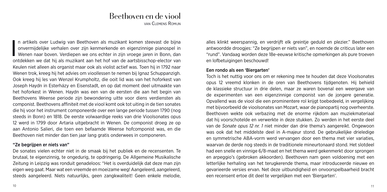# Beethoven en de viool van Clemens Romijn

In artikels over Ludwig van Beethoven als muzikant komen steevast de bijna onvermijdelijke verhalen over zijn kenmerkende en eigenzinnige pianospel in Wenen naar boven. Verdiepen we ons echter in zijn vroege jaren in Bonn, n artikels over Ludwig van Beethoven als muzikant komen steevast de bijna onvermijdelijke verhalen over zijn kenmerkende en eigenzinnige pianospel in Wenen naar boven. Verdiepen we ons echter in zijn vroege jaren in Bonn, dan Keulen niet alleen als organist maar ook als violist actief was. Toen hij in 1792 naar Wenen trok, kreeg hij het advies om vioollessen te nemen bij Ignaz Schuppanzigh. Ook kreeg hij les van Wenzel Krumpholtz, die ooit lid was van het hoforkest van Joseph Haydn in Esterházy en Eisenstadt, en op dat moment deel uitmaakte van het hoforkest in Wenen. Haydn was een van de eersten die aan het begin van Beethovens Weense periode zijn bewondering uitte voor diens verdiensten als componist. Beethovens affiniteit met de viool komt ook tot uiting in de tien sonates die hij voor het instrument componeerde over een lange periode tussen 1790 (nog steeds in Bonn) en 1818. De eerste volwaardige reeks van drie Vioolsonates opus 12 werd in 1799 door Artaria uitgebracht in Wenen. De componist droeg ze op aan Antonio Salieri, die toen een befaamde Weense hofcomponist was, en die Beethoven niet minder dan tien jaar lang gratis onderwees in componeren.

#### "Ze begrijpen er niets van"

De sonates vielen echter niet in de smaak bij het publiek en de recensenten. Te brutaal, te eigenzinnig, te ongedurig, te opdringerig. De Allgemeine Musikalische Zeitung in Leipzig was ronduit genadeloos: "Het is overduidelijk dat deze man zijn eigen weg gaat. Maar wat een vreemde en moeizame weg! Aangeleerd, aangeleerd, steeds aangeleerd. Niets natuurlijks, geen zangkwaliteit! Geen enkele melodie,

alles klinkt weerspannig, en verdrijft elk greintje geduld en plezier." Beethoven antwoordde droogjes: "Ze begrijpen er niets van", en noemde de criticus later een "rund". Vandaag worden deze 18e-eeuwse kritische opmerkingen als pure troeven en lofbetuigingen beschouwd!

#### Een rondo als een 'Biergarten'

Toch is het nuttig voor ons om er rekening mee te houden dat deze Vioolsonates opus 12 vreemd klonken in de oren van Beethovens tijdgenoten. Hij behield de klassieke structuur in drie delen, maar ze waren bovenal een weergave van de experimenten van een eigenzinnige componist van de jongere generatie. Opvallend was de viool die een prominentere rol krijgt toebedeeld, in vergelijking met bijvoorbeeld de vioolsonates van Mozart, waar de pianopartij nog overheerste. Beethoven wekte ook verbazing met de enorme rijkdom aan muziekmateriaal dat hij voorschotelde en verwerkte in deze stukken. Zo werden in het eerste deel van de *Sonate opus 12 nr. 1* niet minder dan drie thema's aangereikt. Ongewoon was ook dat het middelste deel in A-majeur stond. De gebruikelijke drieledige en symmetrische ABA-vorm werd vervangen door een thema met vier variaties, waarvan de derde nog steeds in de traditionele mineurtonaard stond. Het slotdeel had een snelle en vinnige 6/8-maat en het thema werd gekenmerkt door sprongen en arpeggio's (gebroken akkoorden). Beethoven nam geen voldoening met een letterlijke herhaling van het terugkerende thema, maar introduceerde nieuwe en gevarieerde versies ervan. Net deze uitbundigheid en onvoorspelbaarheid bracht een recensent ertoe dit deel te vergelijken met een 'Biergarten'.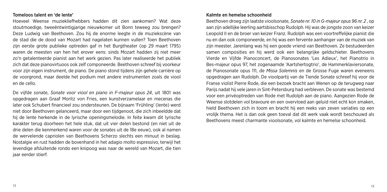#### Tomeloos talent en 'de lente'

Hoeveel Weense muziekliefhebbers hadden dit zien aankomen? Wat deze stoutmoedige, tweeëntwintigjarige nieuwkomer uit Bonn teweeg zou brengen? Deze Ludwig van Beethoven. Zou hij de enorme leegte in de muziekscène van de stad die de dood van Mozart had nagelaten kunnen vullen? Toen Beethoven zijn eerste grote publieke optreden gaf in het Burgtheater (op 29 maart 1795) waren de meesten van hen het erover eens: sinds Mozart hadden zij niet meer zo'n getalenteerde pianist aan het werk gezien. Pas later realiseerde het publiek zich dat deze pianovirtuoos ook zelf componeerde. Beethoven schreef bij voorkeur voor zijn eigen instrument, de piano. De piano stond tijdens zijn gehele carrière op de voorgrond, maar deelde het podium met andere instrumenten zoals de viool en de cello.

De vijfde sonate, *Sonate voor viool en piano in F-majeur opus 24*, uit 1801 was opgedragen aan Graaf Moritz von Fries, een kunstverzamelaar en mecenas die later ook Schubert financieel zou ondersteunen. De bijnaam 'Frühling' (lente) werd niet door Beethoven gelanceerd, maar door een tijdgenoot, die zich inbeeldde dat hij de lente herkende in de lyrische openingsmelodie. In feite kwam dit lyrische karakter terug doorheen het hele stuk, dat uit vier delen bestond (en niet uit de drie delen die kenmerkend waren voor de sonates uit de 18e eeuw), ook al namen de wervelende capriolen van Beethovens Scherzo slechts een minuut in beslag. Nostalgie en rust hadden de bovenhand in het adagio molto espressivo, terwijl het levendige afsluitende rondo een knipoog was naar de wereld van Mozart, die tien jaar eerder stierf.

#### Kalmte en hemelse schoonheid

Beethoven droeg zijn laatste vioolsonate, *Sonate nr. 10 in G-majeur opus 96 nr. 2* , op aan zijn adellijke leerling aartsbisschop Rudolph. Hij was de jongste zoon van keizer Leopold II en de broer van keizer Franz. Rudolph was een voortreffelijke pianist die nu en dan ook componeerde, en hij was een fervente aanhanger van de muziek van zijn meester. Jarenlang was hij een goede vriend van Beethoven. Ze bestudeerden samen composities en hij werd ook een belangrijke geldschieter. Beethovens Vierde en Vijfde Pianoconcert, de Pianosonates 'Les Adieux', het Pianotrio in Bes-majeur opus 97, het zogenaamde 'Aartshertogtrio', de Hammerklaviersonate, de Pianosonate opus 111, de *Missa Solemnis* en de Grosse Fuge waren eveneens opgedragen aan Rudolph. De vioolpartij van de Tiende Sonate schreef hij voor de Franse violist Pierre Rode, die een bezoek bracht aan Wenen op de terugweg naar Parijs nadat hij vele jaren in Sint-Petersburg had verbleven. De sonate was bestemd voor een privéoptreden van Rode met Rudolph aan de piano. Aangezien Rode de Weense slotdelen vol bravoure en een overvloed aan geluid niet echt kon smaken, hield Beethoven zich in toom en bracht hij een reeks van zeven variaties op een vrolijk thema. Het is dan ook geen toeval dat dit werk vaak wordt beschouwd als Beethovens meest charmante vioolsonate, vol kalmte en hemelse schoonheid.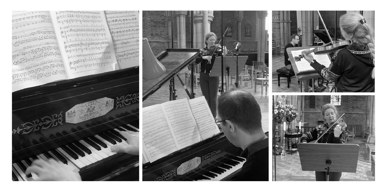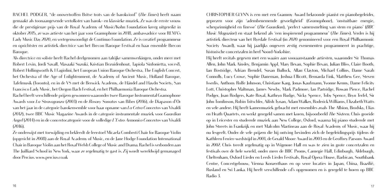RACHEL PODGER, "de onovertroffen Britse trots van de barokviool" (*The Times*) heeft naam gemaakt als toonaangevende vertolkster van barok- en klassieke muziek. Ze was de eerste vrouw die de prestigieuze prijs van de Royal Academy of Music/Kohn Foundation kreeg uitgereikt in oktober 2015, ze was artieste van het jaar voor Gramophone in 2018, ambassadrice voor REMA's Early Music Day 2020, en vertegenwoordigt de Continuo Foundation. Ze is creatief programmeur en oprichtster en artistiek directrice van het Brecon Baroque Festival en haar ensemble Brecon Baroque.

Als directrice en soliste heeft Rachel deelgenomen aan talrijke samenwerkingen, onder meer met Robert Levin, Jordi Savall, Masaaki Suzuki, Kristian Bezuidenhout, Tapiola Sinfonietta, voces8, Robert Hollingworth & I Fagiolini, het European Union Baroque Orchestra, The English Concert, het Orchestra of the Age of Enlightenment, de Academy of Ancient Music, Holland Baroque, Tafelmusik (Toronto), en in de VS met de Berwick Academy, de Händel and Haydn Society, San Francisco Early Music, het Oregon Bach Festival, en het Philharmonia Baroque Orchestra. Rachel heeft verschillende prijzen gewonnen waaronder twee Baroque Instrumental Gramophone Awards voor *La Stravaganza* (2003) en de *Rosary Sonatas* van Biber (2016), de Diapason d'Or van het jaar in de categorie barokensemble voor haar opname van *La Cetra Concertos* van Vivaldi (2012), twee BBC Music Magazine Awards in de categorie instrumentale muziek voor *Guardian Angel* (2014) en in de concertocategorie voor de volledige *L'Estro Armonico Concertos* van Vivaldi (2016).

Ze onderwijst met toewijding en bekleedt de leerstoel Micaela Comberti Chair for Baroque Violin (opgericht in 2008) aan de Royal Academy of Music, en de Jane Hodge Foundation International Chair in Baroque Violin aan het Royal Welsh College of Music and Drama. Rachel is verbonden aan The Juilliard School in New York, waar ze regelmatig te gast is. Zij wordt wereldwijd gemanaged door Percius. www.percius.co.uk

CHRISTOPHER GLYNN is een met een Grammy Award bekroonde pianist en pianobegeleider, geprezen voor zijn 'adembenemende gevoeligheid' (*Gramophone*), 'onstuitbare energie, scherpzinnigheid en finesse' (*The Guardian*), 'perfect samensmelting van stem en piano' (*BBC Music Magazine*) en staat bekend als 'een inspirerend programmeur' (*The Times*). Verder is hij artistiek directeur van het Ryedale Festival (in 2020 genomineerd voor een Royal Philharmonic Society Award), waar hij jaarlijks ongeveer zestig evenementen programmeert in prachtige, historische concertzalen in heel Noord-Yorkshire.

Hij heeft recitals gegeven met een waaier aan vooraanstaande artiesten, waaronder Sir Thomas Allen, John Mark Ainsley, Benjamin Appl, Mary Bevan, Sophie Bevan, Julian Bliss, Claire Booth, Ian Bostridge, Adrian Brendel, Susan Bullock, Allan Clayton, Michael Collins, Dame Sarah Connolly, Lucy Crowe, Sophie Daneman, Joshua Ellicott, Bernarda Fink, Matthew Gee, Steven Isserlis, Anthony Rolfe Johnson, Christiane Karg, Jonas Kaufmann, Yvonne Kenny, Dame Felicity Lott, Christopher Maltman, James Newby, Mark Padmore, Ian Partridge, Rowan Pierce, Rachel Podger, Joan Rodgers, Kate Royal, Kathryn Rudge, Nicky Spence, Toby Spence, Bryn Terfel, Sir John Tomlinson, Robin Tritschler, Ailish Tynan, Adam Walker, Roderick Williams, Elizabeth Watts en vele andere. Hij heeft kamermuziek gebracht met ensembles zoals The Albion, Brodsky, Elias en Heath Quartets, en werkt geregeld samen met koren, bijvoorbeeld *The Sixteen*. Chris groeide op in Leicester en studeerde muziek aan New College, Oxford, waarna hij piano studeerde met John Streets in Frankrijk en met Malcolm Martineau aan de Royal Academy of Music, waar hij nu lesgeeft. Onder de vele prijzen die hij ontving bevinden zich de begeleidingsprijs tijdens de Kathleen Ferrier-wedstrijd in 2001, de Gerald Moore Award in 2003 en de Geoffrey Parsons Award in 2002. Chris treedt regelmatig op in Wigmore Hall en was te zien in grote concertzalen en festivals over de hele wereld, onder meer de BBC Proms, Carnegie Hall, Edinburgh, Aldeburgh, Cheltenham, Oxford Lieder en Leeds Lieder Festivals, Royal Opera House, Barbican, Southbank Centre, Concertgebouw, Vienna Konzerthaus en op verre locaties in Japan, China, Brazilië, Rusland en Sri Lanka. Hij heeft verschillende cd's opgenomen en is geregeld te horen op BBC Radio 3.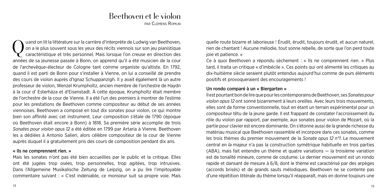## Beethoven et le violon par Clemens Romijn

Quand on lit la littérature sur la carrière d'interprète de Ludwig van Beethoven,<br>on a le plus souvent sous les yeux des récits viennois sur son jeu pianistique<br>caractéristique et très personnel. Mais lorsque l'on creuse e on a le plus souvent sous les yeux des récits viennois sur son jeu pianistique années de sa jeunesse passée à Bonn, on apprend qu'il a été musicien de la cour de l'archevêque-électeur de Cologne tant comme organiste qu'altiste. En 1792, quand il est parti de Bonn pour s'installer à Vienne, on lui a conseillé de prendre des cours de violon auprès d'Ignaz Schuppanzigh. Il y avait également là un autre professeur de violon, Wenzel Krumpholtz, ancien membre de l'orchestre de Haydn à la cour d' Esterháza et d'Eisenstadt. À cette époque, Krumpholtz était membre de l'orchestre de la cour de Vienne. Il a été l'un des premiers à montrer de l'estime pour les prestations de Beethoven comme compositeur au début de ses années viennoises. Beethoven a composé en tout dix sonates pour violon, ce qui montre bien son affinité avec cet instrument. Leur composition s'étale de 1790 (époque où Beethoven était encore à Bonn) à 1818. Sa première série accomplie de trois *Sonates pour violon opus 12* a été éditée en 1799 par Artaria à Vienne. Beethoven les a dédiées à Antonio Salieri, alors célèbre compositeur de la cour de Vienne auprès duquel il a gratuitement pris des cours de composition pendant dix ans.

#### « Ils ne comprennent rien. »

Mais les sonates n'ont pas été bien accueillies par le public et la critique. Elles ont été jugées trop osées, trop personnelles, trop agitées, trop intrusives. Dans l'Allgemeine Musikalische Zeitung de Leipzig, on a pu lire l'impitoyable commentaire suivant : « C'est indéniable, ce monsieur suit sa propre voie. Mais

quelle route bizarre et laborieuse ! Érudit, érudit, toujours érudit, et aucun naturel, rien de chantant ! Aucune mélodie, tout sonne rebelle, de sorte que l'on perd toute joie et patience. »

Ce à quoi Beethoven a répondu sèchement : « Ils ne comprennent rien. » Plus tard, il traita un critique « d'imbécile ». Ces points qui ont alimenté les critiques au dix-huitième siècle seraient plutôt entendus aujourd'hui comme de purs éléments positifs et provoqueraient des encouragements !

#### Un rondo comparé à un « Biergarten »

Il est pourtant bon de lire que pour les contemporains de Beethoven, ses *Sonates pour violon opus 12* ont sonné bizarrement à leurs oreilles. Avec leurs trois mouvements, elles sont de forme conventionnelle, tout en étant un terrain expérimental pour un compositeur têtu de la jeune garde. Il est frappant de constater l'accroissement du rôle du violon par rapport, par exemple, aux sonates pour violon de Mozart, où la partie pour clavier est encore dominante. On s'étonne aussi de la grande richesse du matériau musical que Beethoven rassemble et incorpore dans ces sonates, comme les trois thèmes du premier mouvement de la *Sonate opus 12 n°1*. Le mouvement central en *la* majeur n'a pas la construction symétrique habituelle en trois parties (ABA), mais fait entendre un thème et quatre variations — la troisième variation est de tonalité mineure, comme de coutume. Le dernier mouvement est un rondo rapide et dansant de mesure à 6/8, dont le thème est caractérisé par des arpèges (accords brisés) et de grands sauts mélodiques. Beethoven ne se contente pas d'une répétition littérale du thème lorsqu'il réapparaît, mais en donne toujours une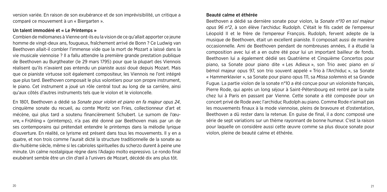version variée. En raison de son exubérance et de son imprévisibilité, un critique a comparé ce mouvement à un « Biergarten ».

#### Un talent immodéré et « Le Printemps »

Combien de mélomanes à Vienne ont-ils eu la vision de ce qu'allait apporter ce jeune homme de vingt-deux ans, fougueux, fraîchement arrivé de Bonn ? Ce Ludwig van Beethoven allait-il combler l'immense vide que la mort de Mozart a laissé dans la vie musicale viennoise ? Il a fallu attendre la première grande prestation publique de Beethoven au Burgtheater (le 29 mars 1795) pour que la plupart des Viennois réalisent qu'ils n'avaient pas entendu un pianiste aussi doué depuis Mozart. Mais que ce pianiste virtuose soit également compositeur, les Viennois ne l'ont intégré que plus tard. Beethoven composait le plus volontiers pour son propre instrument, le piano. Cet instrument a joué un rôle central tout au long de sa carrière, ainsi qu'aux côtés d'autres instruments tels que le violon et le violoncelle.

En 1801, Beethoven a dédié sa *Sonate pour violon et piano en fa majeur opus 24*, cinquième sonate du recueil, au comte Moritz von Fries, collectionneur d'art et mécène, qui plus tard a soutenu financièrement Schubert. Le surnom de l'œuvre, « Frühling » (printemps), n'a pas été donné par Beethoven mais par un de ses contemporains qui prétendait entendre le printemps dans la mélodie lyrique d'ouverture. En réalité, ce lyrisme est présent dans tous les mouvements. Il y en a quatre, et non trois comme l'aurait dicté la structure traditionnelle de la sonate au dix-huitième siècle, même si les cabrioles spirituelles du scherzo durent à peine une minute. Un calme nostalgique règne dans l'Adagio molto espressivo. Le rondo final exubérant semble être un clin d'œil à l'univers de Mozart, décédé dix ans plus tôt.

## Beauté calme et éthérée

Beethoven a dédié sa dernière sonate pour violon, la *Sonate n°10 en sol majeur opus 96 n°2*, à son élève l'archiduc Rudolph. C'était le fils cadet de l'empereur Léopold II et le frère de l'empereur François. Rudolph, fervent adepte de la musique de Beethoven, était un excellent pianiste. Il composait aussi de manière occasionnelle. Ami de Beethoven pendant de nombreuses années, il a étudié la composition avec lui et a en outre été pour lui un important bailleur de fonds. Beethoven lui a également dédié ses Quatrième et Cinquième Concertos pour piano, sa Sonate pour piano dite « Les Adieux », son Trio avec piano en *si*  bémol majeur opus 97, son trio souvent appelé « Trio à l'Archiduc », sa Sonate « Hammerklavier », sa Sonate pour piano opus 111, sa *Missa solemnis* et sa Grande Fugue. La partie violon de la sonate n°10 a été conçue pour un violoniste français, Pierre Rode, qui après un long séjour à Saint-Pétersbourg est rentré par la suite chez lui à Paris en passant par Vienne. Cette sonate a été composée pour un concert privé de Rode avec l'archiduc Rudolph au piano. Comme Rode n'aimait pas les mouvements finaux à la mode viennoise, pleins de bravoure et d'ostentation, Beethoven a dû rester dans la retenue. En guise de final, il a donc composé une série de sept variations sur un thème rayonnant de bonne humeur. C'est la raison pour laquelle on considère aussi cette œuvre comme sa plus douce sonate pour violon, pleine de beauté calme et éthérée.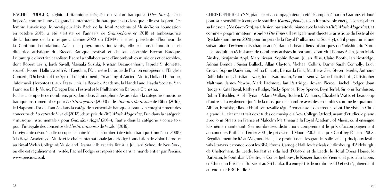RACHEL PODGER, « gloire britannique inégalée du violon baroque » (*The Times*), s'est imposée comme l'une des grandes interprètes du baroque et du classique. Elle est la première femme à avoir reçu le prestigieux Prix Bach de la Royal Academy of Music/Kohn Foundation en octobre 2015, a été « artiste de l'année » de *Gramophone* en 2018 et ambassadrice de la Journée de la musique ancienne 2020 du REMA ; elle est présidente d'honneur de la Continuo Foundation. Avec des programmes innovants, elle est aussi fondatrice et directrice artistique du Brecon Baroque Festival et de son ensemble Brecon Baroque. En tant que directrice et soliste, Rachel a collaboré avec d'innombrables musiciens et ensembles, dont Robert Levin, Jordi Savall, Masaaki Suzuki, Kristian Bezuidenhout, Tapiola Sinfonietta, voces8, Robert Hollingworth & I Fagiolini, l'Orchestre baroque de l'Union européenne, l'English Concert, l'Orchestra of the Age of Enlightenment, l'Academy of Ancient Music, Holland Baroque, Tafelmusik (Toronto) et, aux États-Unis, la Berwick Academy, la Handel and Haydn Society, San Francisco Early Music, l'Oregon Bach Festival et le Philharmonia Baroque Orchestra. Rachel a remporté de nombreux prix, dont deux Gramophone Awards dans la catégorie « musique baroque instrumentale » pour *La Stravaganza* (2003) et les *Sonates du rosaire* de Biber (2016), le Diapason d'or de l'année dans la catégorie « ensemble baroque » pour son enregistrement des concertos de *La cetra* de Vivaldi (2012), deux prix du *BBC Music Magazine,* l'un dans la catégorie « musique instrumentale » pour *Guardian Angel* (2014), l'autre dans la catégorie « concerto »

Enseignante dévouée, elle occupe la chaire Micaela Comberti de violon baroque (fondée en 2008) à la Royal Academy of Music et la chaire internationale Jane Hodge Foundation de violon baroque au Royal Welsh College of Music and Drama. Elle est très liée à la Juilliard School de New York, où elle est régulièrement invitée. Rachel Podger est représentée dans le monde entier par Percius. www.percius.co.uk

pour l'intégrale des concertos de *L'estro armonico* de Vivaldi (2016).

CHRISTOPHER GLYNN, pianiste et accompagnateur, a été récompensé par un Grammy et loué pour sa « sensibilité à couper le souffle » (*Gramophone*), « son irrépressible énergie, son esprit et sa finesse » (*The Guardian*), sa « fusion parfaite du piano avec la voix » (*BBC Music Magazine*), et comme « programmateur inspiré » (*The Times*). Il est également directeur artistique du Festival de Ryedale (nommé en 2020 pour un prix de la Royal Philharmonic Society), où il programme une soixantaine d'événements chaque année dans de beaux lieux historiques du Yorkshire du Nord. Il se produit en récital avec de nombreux artistes importants, dont Sir Thomas Allen, John Mark Ainsley, Benjamin Appl, Mary Bevan, Sophie Bevan, Julian Bliss, Claire Booth, Ian Bostridge, Adrian Brendel, Susan Bullock, Allan Clayton, Michael Collins, Dame Sarah Connolly, Lucy Crowe, Sophie Daneman, Joshua Ellicott, Bernarda Fink, Matthew Gee, Steven Isserlis, Anthony Rolfe Johnson, Christiane Karg, Jonas Kaufmann, Yvonne Kenny, Dame Felicity Lott, Christopher Maltman, James Newby, Mark Padmore, Ian Partridge, Rowan Pierce, Rachel Podger, Joan Rodgers, Kate Royal, Kathryn Rudge, Nicky Spence, Toby Spence, Bryn Terfel, Sir John Tomlinson, Robin Tritschler, Ailish Tynan, Adam Walker, Roderick Williams, Elizabeth Watts et beaucoup d'autres. Il a également joué de la musique de chambre avec des ensembles comme les quatuors Albion, Brodsky, Elias et Heath, et travaille régulièrement avec des chœurs, dont The Sixteen. Chris a grandi à Leicester et fait des études de musique à New College, Oxford, avant d'étudier le piano avec John Streets en France et Malcolm Martineau à la Royal Academy of Music, où il enseigne lui-même maintenant. Ses nombreuses distinctions comprennent le prix d'accompagnement au concours Kathleen Ferrier 2001, le prix Gerald Moore 2003 et le prix Geoffrey Parsons 2002. Régulièrement invité au Wigmore Hall, il se produit dans les grandes salles et les principaux festivals à travers le monde, dont les BBC Proms, Carnegie Hall, les festivals d'Édimbourg, d'Aldeburgh, de Cheltenham, de Leeds, les festivals du lied d'Oxford et de Leeds, le Royal Opera House, le Barbican, le Southbank Centre, le Concertgebouw, le Konzerthaus de Vienne, et jusqu'au Japon, en Chine, au Brésil, en Russie et au Sri Lanka. Il a enregistré de nombreux CD et est régulièrement entendu sur BBC Radio 3.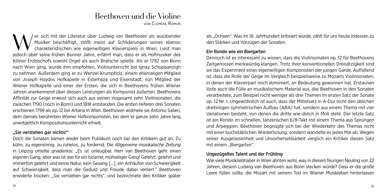## Beethoven und die Violine von Clemens Romijn

Wer sich mit der Literatur über Ludwig van Beethoven als ausübender Musiker beschäftigt, stößt meist auf Schilderungen seines ebenso charakteristischen wie eigenwilligen Klavierspiels in Wien. Liest man jedoch über seine f Musiker beschäftigt, stößt meist auf Schilderungen seines ebenso jedoch über seine frühen Bonner Jahre, erfährt man, dass er als Hofmusiker des Kölner Erzbischofs sowohl Orgel als auch Bratsche spielte. Als er 1792 von Bonn nach Wien ging, wurde ihm empfohlen, Violinunterricht bei Ignaz Schuppanzigh zu nehmen. Außerdem ging er zu Wenzel Krumpholz, einem ehemaligen Mitglied von Joseph Haydns Hofkapelle in Esterháza und Eisenstadt, nun Mitglied der Wiener Hofkapelle und einer der Ersten, die sich in Beethovens frühen Wiener Jahren anerkennend über dessen Leistungen als Komponist äußerten. Beethovens Affinität zur Geige erweist sich auch aus seinen insgesamt zehn Violinsonaten, die zwischen 1790 (noch in Bonn) und 1818 entstanden. Die ersten reiferen drei Sonaten erschienen 1799 als op. 12 bei Artaria in Wien. Beethoven widmete sie Antonio Salieri, dem damals berühmten Wiener Hofkomponisten, bei dem er ganze zehn Jahre lang unentgeltlich Kompositionsunterricht erhielt.

#### "Sie verstehen gar nichts!"

Doch die Sonaten kamen weder beim Publikum noch bei den Kritikern gut an. Zu kühn, zu eigensinnig, zu ruhelos, zu fordernd. Die *Allgemeine musikalische Zeitung* in Leipzig urteilte gnadenlos: "Es ist unleugbar, Herr van Beethoven geht einen eigenen Gang; aber was ist das für ein bizarrer, mühseliger Gang! Gelehrt, gelehrt und immerfort gelehrt und keine Natur, kein Gesang [...], ein Anhäufen von Schwierigkeit auf Schwierigkeit, dass man die Geduld und Freude dabei verliert." Beethoven erwiderte trocken: "Sie verstehen gar nichts", und bezeichnete den Kritiker später

als "Ochsen". Was im 18. Jahrhundert kritisiert wurde, zählt für uns heute indessen zu den Stärken und Vorzügen der Sonaten.

#### Ein Rondo wie ein Biergarten

Dennoch ist es interessant zu wissen, dass die Violinsonaten op. 12 für Beethovens Zeitgenossen merkwürdig klangen. Trotz ihrer konventionellen Dreisätzigkeit sind sie das Experiment eines eigenwilligen Komponisten der jungen Garde. Auffallend ist, dass die Rolle der Geige im Vergleich beispielsweise zu Mozarts Violinsonaten, in denen der Klavierpart noch dominiert, an Bedeutung gewonnen hat. Erstaunen löste auch die Fülle an musikalischem Material aus, das Beethoven in den Sonaten verarbeitete, zum Beispiel nicht weniger als drei Themen im ersten Satz der Sonate op. 12 Nr. 1. Ungewöhnlich ist auch, dass der Mittelsatz in A-Dur nicht den üblichen dreiteiligen symmetrischen Aufbau (ABA) hat, sondern aus einem Thema mit vier Variationen besteht, von denen die dritte wie üblich in Moll steht. Der letzte Satz ist ein Rondo im schnellen, tänzerischen 6/8-Takt mit einem Thema aus Sprüngen und Arpeggien. Beethoven begnügte sich bei der Wiederkehr des Themas nicht mit einer buchstäblichen Wiederholung, sondern wandelte es jedes Mal ab. Wegen seiner Ausgelassenheit und Unvorhersehbarkeit verglich ein Kritiker diesen Satz mit einem "Biergarten".

#### Ungezügeltes Talent und der Frühling

Wie viele Musikliebhaber in Wien ahnten wohl, was in diesem feurigen Neuling von 22 Jahren, diesem Ludwig van Beethoven aus Bonn stecken würde? Dass er die große Leere füllen sollte, die Mozart mit seinem Tod im Wiener Musikleben hinterlassen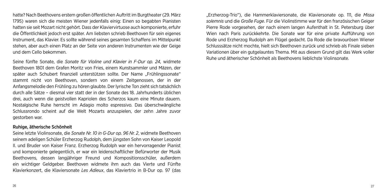hatte? Nach Beethovens erstem großen öffentlichen Auftritt im Burgtheater (29. März 1795) waren sich die meisten Wiener jedenfalls einig: Einen so begabten Pianisten hatten sie seit Mozart nicht gehört. Dass der Klaviervirtuose auch komponierte, erfuhr die Öffentlichkeit jedoch erst später. Am liebsten schrieb Beethoven für sein eigenes Instrument, das Klavier. Es sollte während seines gesamten Schaffens im Mittelpunkt stehen, aber auch einen Platz an der Seite von anderen Instrumenten wie der Geige und dem Cello bekommen.

Seine fünfte Sonate, die *Sonate für Violine und Klavier in F-Dur op. 24*, widmete Beethoven 1801 dem Grafen Moritz von Fries, einem Kunstsammler und Mäzen, der später auch Schubert finanziell unterstützen sollte. Der Name "Frühlingssonate" stammt nicht von Beethoven, sondern von einem Zeitgenossen, der in der Anfangsmelodie den Frühling zu hören glaubte. Der lyrische Ton zieht sich tatsächlich durch alle Sätze – diesmal vier statt der in der Sonate des 18. Jahrhunderts üblichen drei, auch wenn die geistvollen Kapriolen des Scherzos kaum eine Minute dauern. Nostalgische Ruhe herrscht im Adagio molto espressivo. Das überschwängliche Schlussrondo scheint auf die Welt Mozarts anzuspielen, der zehn Jahre zuvor gestorben war.

#### Ruhige, ätherische Schönheit

Seine letzte Violinsonate, die *Sonate Nr. 10 in G-Dur op. 96 Nr. 2*, widmete Beethoven seinem adeligen Schüler Erzherzog Rudolph, dem jüngsten Sohn von Kaiser Leopold II. und Bruder von Kaiser Franz. Erzherzog Rudolph war ein hervorragender Pianist und komponierte gelegentlich, er war ein leidenschaftlicher Befürworter der Musik Beethovens, dessen langjähriger Freund und Kompositionsschüler, außerdem ein wichtiger Geldgeber. Beethoven widmete ihm auch das Vierte und Fünfte Klavierkonzert, die Klaviersonate *Les Adieux*, das Klaviertrio in B-Dur op. 97 (das "Erzherzog-Trio"), die Hammerklaviersonate, die Klaviersonate op. 111, die *Missa solemnis* und die *Große Fuge*. Für die Violinstimme war für den französischen Geiger Pierre Rode vorgesehen, der nach einem langen Aufenthalt in St. Petersburg über Wien nach Paris zurückkehrte. Die Sonate war für eine private Aufführung von Rode und Erzherzog Rudolph am Flügel gedacht. Da Rode die bravourösen Wiener Schlusssätze nicht mochte, hielt sich Beethoven zurück und schrieb als Finale sieben Variationen über ein gutgelauntes Thema. Mit aus diesem Grund gilt das Werk voller Ruhe und ätherischer Schönheit als Beethovens lieblichste Violinsonate.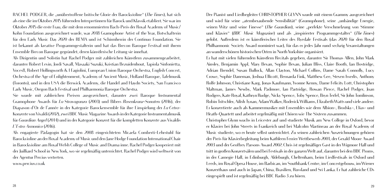RACHEL PODGER, die "unübertroffene britische Glorie der Barockvioline" (*The Times*), hat sich als eine die im Oktober 2015 führenden Interpretinnen für Barock und Klassik etabliert. Sie war im Oktober 2015 die erste Frau, die mit dem renommierten Bach-Preis der Royal Academy of Music/ Kohn Foundation ausgezeichnet wurde, war 2018 Gramophone Artist of the Year, Botschafterin für den Early Music Day 2020 der REMA und ist Schirmherrin der Continuo Foundation. Sie ist bekannt als kreative Programmgestalterin und hat das Brecon Baroque Festival mit ihrem Ensemble Brecon Baroque gegründet, deren künstlerische Leitung sie innehat.

Als Dirigentin und Solistin hat Rachel Podger mit zahlreichen Künstlern zusammengearbeitet, darunter Robert Levin, Jordi Savall, Masaaki Suzuki, Kristian Bezuidenhout, Tapiola Sinfonietta, Voces8, Robert Hollingworth & I Fagiolini, European Union Baroque Orchestra, English Concert, Orchestra of the Age of Enlightenment, Academy of Ancient Music, Holland Baroque, Tafelmusik (Toronto), und in den USA die Berwick Academy, die Handel and Haydn Society, San Francisco Early Music, Oregon Bach Festival und Philharmonia Baroque Orchestra.

Sie wurde mit zahlreichen Preisen ausgezeichnet, darunter zwei Baroque Instrumental Gramophone Awards für *La Stravaganza* (2003) und Bibers *Rosenkranz-Sonate*n (2016), der Diapason d'Or de l'année in der Kategorie Barockensemble für ihre Einspielung der *La Cetra*-Konzerte von Vivaldi (2012), zwei BBC Music Magazine Awards in der Kategorie Instrumentalmusik für *Guardian Angel* (2014) und in der Kategorie Konzert für die kompletten Konzerte aus Vivaldis *L'Estro Armonico* (2016).

Als engagierte Pädagogin hat sie den 2008 eingerichteten Micaela Comberti-Lehrstuhl für Barockvioline an der Royal Academy of Music und den Jane Hodge Foundation International Chair in Barockvioline am Royal Welsh College of Music and Drama inne. Rachel Podger kooperiert mit der Juilliard School in New York, wo sie regelmäßig unterrichtet. Rachel Podger wird weltweit von der Agentur Percius vertreten.

www.percius.co.uk

Der Pianist und Liedbegleiter CHRISTOPHER GLYNN wurde mit einem Grammy ausgezeichnet und wird für seine "atemberaubende Sensibilität" (*Gramophone*), seine "unbändige Energie, seinen Witz und seine Finesse" (*The Guardian*), seine "perfekte Verschmelzung von Stimme und Klavier<sup>"</sup> (*BBC Music Magazine*) und als "inspirierter Programmgestalter" (*The Times*) gelobt. Außerdem ist er künstlerischer Leiter des Ryedale Festivals (das 2020 für den Royal Philharmonic Society Award nominiert war), für das er jedes Jahr rund sechzig Veranstaltungen an wunderschönen historischen Orten in North Yorkshire organisiert.

Er hat mit vielen führenden Künstlern Recitals gegeben, darunter Sir Thomas Allen, John Mark Ainsley, Benjamin Appl, Mary Bevan, Sophie Bevan, Julian Bliss, Claire Booth, Ian Bostridge, Adrian Brendel, Susan Bullock, Allan Clayton, Michael Collins, Dame Sarah Connolly, Lucy Crowe, Sophie Daneman, Joshua Ellicott, Bernarda Fink, Matthew Gee, Steven Isserlis, Anthony Rolfe Johnson, Christiane Karg, Jonas Kaufmann, Yvonne Kenny, Dame Felicity Lott, Christopher Maltman, James Newby, Mark Padmore, Ian Partridge, Rowan Pierce, Rachel Podger, Joan Rodgers, Kate Royal, Kathryn Rudge, Nicky Spence, Toby Spence, Bryn Terfel, Sir John Tomlinson, Robin Tritschler, Ailish Tynan, Adam Walker, Roderick Williams, Elizabeth Watts und viele andere. Er konzertierte auch als Kammermusiker mit Ensembles wie dem Albion-, Brodsky-, Elias- und Heath-Quartett und arbeitet regelmäßig mit Chören wie The Sixteen zusammen.

Christopher Glynn wuchs in Leicester auf und studierte Musik am New College in Oxford, bevor er Klavier bei John Streets in Frankreich und bei Malcolm Martineau an der Royal Academy of Music studierte, wo er heute selbst unterrichtet. Zu seinen zahlreichen Auszeichnungen gehören der Preis für Klavierbegleitung beim Kathleen Ferrier Wettbewerb 2001, der Gerald Moore Award 2003 und der Geoffrey Parsons Award 2002. Chris ist regelmäßiger Gast in der Wigmore Hall und tritt in großen Konzertsälen und bei Festivals in der ganzen Welt auf, darunter bei den BBC Proms, in der Carnegie Hall, in Edinburgh, Aldeburgh, Cheltenham, beim Liedfestivals in Oxford und Leeds, im Royal Opera House, im Barbican, im Southbank Centre, im Concertgebouw, im Wiener Konzerthaus und auch in Japan, China, Brasilien, Russland und Sri Lanka. Er hat zahlreiche CDs eingespielt und ist regelmäßig bei BBC Radio 3 zu hören.